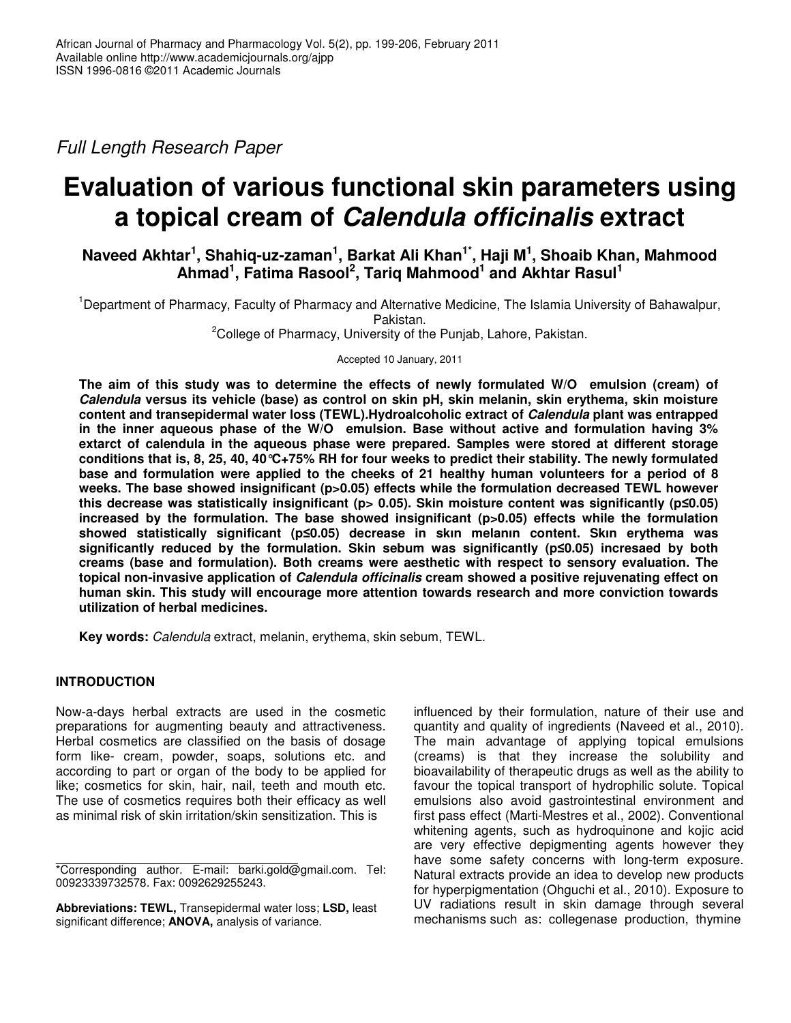*Full Length Research Paper*

# **Evaluation of various functional skin parameters using a topical cream of** *Calendula officinalis* **extract**

# **Naveed Akhtar 1 , Shahiq-uz-zaman 1 , Barkat Ali Khan 1\* , Haji M 1 , Shoaib Khan, Mahmood Ahmad 1 , Fatima Rasool 2 , Tariq Mahmood 1 and Akhtar Rasul 1**

<sup>1</sup>Department of Pharmacy, Faculty of Pharmacy and Alternative Medicine, The Islamia University of Bahawalpur, Pakistan.

<sup>2</sup>College of Pharmacy, University of the Punjab, Lahore, Pakistan.

Accepted 10 January, 2011

**The aim of this study was to determine the effects of newly formulated W/O emulsion (cream) of** *Calendula* **versus its vehicle (base) as control on skin pH, skin melanin, skin erythema, skin moisture content and transepidermal water loss (TEWL)***.***Hydroalcoholic extract of** *Calendula* **plant was entrapped in the inner aqueous phase of the W/O emulsion. Base without active and formulation having 3% extarct of calendula in the aqueous phase were prepared. Samples were stored at different storage** conditions that is, 8, 25, 40, 40 °C+75% RH for four weeks to predict their stability. The newly formulated **base and formulation were applied to the cheeks of 21 healthy human volunteers for a period of 8 weeks. The base showed insignificant (p>0.05) effects while the formulation decreased TEWL however this decrease was statistically insignificant (p> 0.05). Skin moisture content was significantly (p0.05) increased by the formulation. The base showed insignificant (p>0.05) effects while the formulation showed statistically significant (p0.05) decrease in skın melanın content. Skın erythema was significantly reduced by the formulation. Skin sebum was significantly (p0.05) incresaed by both creams (base and formulation). Both creams were aesthetic with respect to sensory evaluation. The topical non-invasive application of** *Calendula officinalis* **cream showed a positive rejuvenating effect on human skin. This study will encourage more attention towards research and more conviction towards utilization of herbal medicines.**

**Key words:** *Calendula* extract, melanin, erythema, skin sebum, TEWL.

# **INTRODUCTION**

Now-a-days herbal extracts are used in the cosmetic preparations for augmenting beauty and attractiveness. Herbal cosmetics are classified on the basis of dosage form like- cream, powder, soaps, solutions etc. and according to part or organ of the body to be applied for like; cosmetics for skin, hair, nail, teeth and mouth etc. The use of cosmetics requires both their efficacy as well as minimal risk of skin irritation/skin sensitization. This is

**Abbreviations: TEWL,** Transepidermal water loss; **LSD,** least significant difference; **ANOVA,** analysis of variance.

influenced by their formulation, nature of their use and quantity and quality of ingredients (Naveed et al., 2010). The main advantage of applying topical emulsions (creams) is that they increase the solubility and bioavailability of therapeutic drugs as well as the ability to favour the topical transport of hydrophilic solute. Topical emulsions also avoid gastrointestinal environment and first pass effect (Marti-Mestres et al., 2002). Conventional whitening agents, such as hydroquinone and kojic acid are very effective depigmenting agents however they have some safety concerns with long-term exposure. Natural extracts provide an idea to develop new products for hyperpigmentation (Ohguchi et al., 2010). Exposure to UV radiations result in skin damage through several mechanisms such as: collegenase production, thymine

<sup>\*</sup>Corresponding author. E-mail: barki.gold@gmail.com. Tel: 00923339732578. Fax: 0092629255243.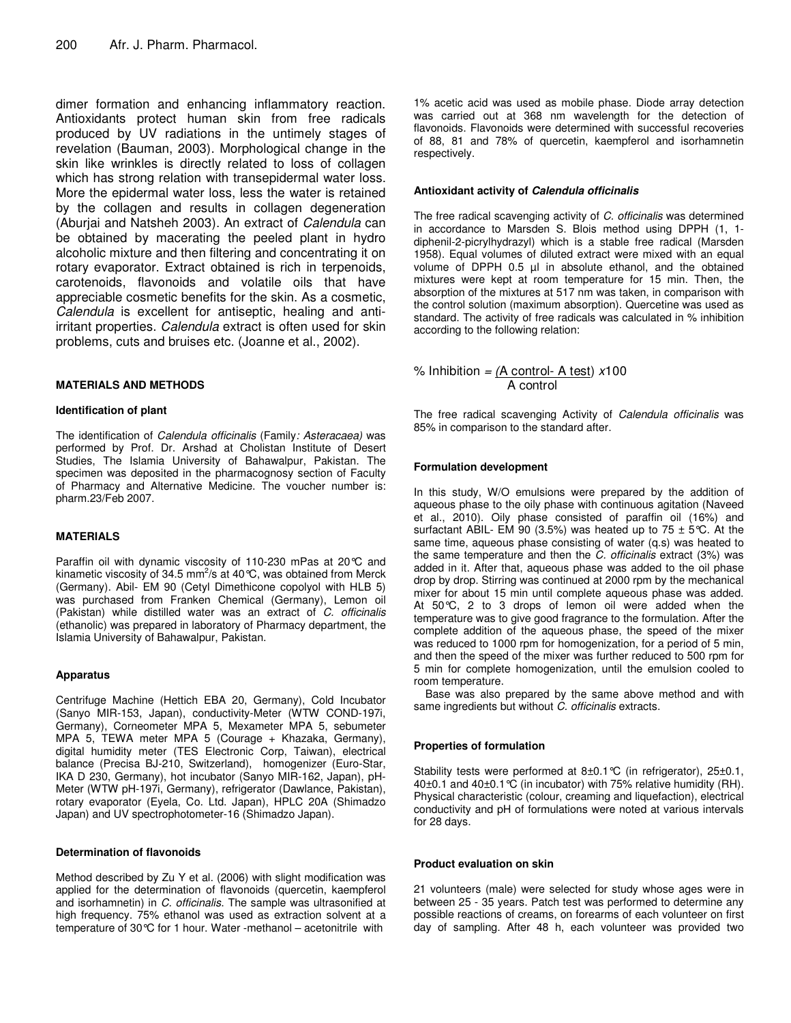dimer formation and enhancing inflammatory reaction. Antioxidants protect human skin from free radicals produced by UV radiations in the untimely stages of revelation (Bauman, 2003). Morphological change in the skin like wrinkles is directly related to loss of collagen which has strong relation with transepidermal water loss. More the epidermal water loss, less the water is retained by the collagen and results in collagen degeneration (Aburjai and Natsheh 2003). An extract of *Calendula* can be obtained by macerating the peeled plant in hydro alcoholic mixture and then filtering and concentrating it on rotary evaporator. Extract obtained is rich in terpenoids, carotenoids, flavonoids and volatile oils that have appreciable cosmetic benefits for the skin. As a cosmetic, *Calendula* is excellent for antiseptic, healing and antiirritant properties. *Calendula* extract is often used for skin problems, cuts and bruises etc. (Joanne et al., 2002).

#### **MATERIALS AND METHODS**

#### **Identification of plant**

The identification of *Calendula officinalis* (Family*: Asteracaea)* was performed by Prof. Dr. Arshad at Cholistan Institute of Desert Studies, The Islamia University of Bahawalpur, Pakistan. The specimen was deposited in the pharmacognosy section of Faculty of Pharmacy and Alternative Medicine. The voucher number is: pharm.23/Feb 2007.

### **MATERIALS**

Paraffin oil with dynamic viscosity of 110-230 mPas at 20°C and kinametic viscosity of 34.5 mm<sup>2</sup>/s at 40 °C, was obtained from Merck (Germany). Abil- EM 90 (Cetyl Dimethicone copolyol with HLB 5) was purchased from Franken Chemical (Germany), Lemon oil (Pakistan) while distilled water was an extract of *C. officinalis* (ethanolic) was prepared in laboratory of Pharmacy department, the Islamia University of Bahawalpur, Pakistan.

#### **Apparatus**

Centrifuge Machine (Hettich EBA 20, Germany), Cold Incubator (Sanyo MIR-153, Japan), conductivity-Meter (WTW COND-197i, Germany), Corneometer MPA 5, Mexameter MPA 5, sebumeter MPA 5, TEWA meter MPA 5 (Courage + Khazaka, Germany), digital humidity meter (TES Electronic Corp, Taiwan), electrical balance (Precisa BJ-210, Switzerland), homogenizer (Euro-Star, IKA D 230, Germany), hot incubator (Sanyo MIR-162, Japan), pH-Meter (WTW pH-197i, Germany), refrigerator (Dawlance, Pakistan), rotary evaporator (Eyela, Co. Ltd. Japan), HPLC 20A (Shimadzo Japan) and UV spectrophotometer-16 (Shimadzo Japan).

#### **Determination of flavonoids**

Method described by Zu Y et al. (2006) with slight modification was applied for the determination of flavonoids (quercetin, kaempferol and isorhamnetin) in *C. officinalis*. The sample was ultrasonified at high frequency. 75% ethanol was used as extraction solvent at a temperature of 30°C for 1 hour. Water -methanol – acetonitrile with

1% acetic acid was used as mobile phase. Diode array detection was carried out at 368 nm wavelength for the detection of flavonoids. Flavonoids were determined with successful recoveries of 88, 81 and 78% of quercetin, kaempferol and isorhamnetin respectively.

#### **Antioxidant activity of** *Calendula officinalis*

The free radical scavenging activity of *C. officinalis* was determined in accordance to Marsden S. Blois method using DPPH (1, 1 diphenil-2-picrylhydrazyl) which is a stable free radical (Marsden 1958). Equal volumes of diluted extract were mixed with an equal volume of DPPH 0.5 µl in absolute ethanol, and the obtained mixtures were kept at room temperature for 15 min. Then, the absorption of the mixtures at 517 nm was taken, in comparison with the control solution (maximum absorption). Quercetine was used as standard. The activity of free radicals was calculated in % inhibition according to the following relation:

% Inhibition *= (*A control- A test) *x*100 A control

The free radical scavenging Activity of *Calendula officinalis* was 85% in comparison to the standard after.

#### **Formulation development**

In this study, W/O emulsions were prepared by the addition of aqueous phase to the oily phase with continuous agitation (Naveed et al., 2010). Oily phase consisted of paraffin oil (16%) and surfactant ABIL- EM 90 (3.5%) was heated up to 75  $\pm$  5°C. At the same time, aqueous phase consisting of water (q.s) was heated to the same temperature and then the *C. officinalis* extract (3%) was added in it. After that, aqueous phase was added to the oil phase drop by drop. Stirring was continued at 2000 rpm by the mechanical mixer for about 15 min until complete aqueous phase was added. At 50°C, 2 to 3 drops of lemon oil were added when the temperature was to give good fragrance to the formulation. After the complete addition of the aqueous phase, the speed of the mixer was reduced to 1000 rpm for homogenization, for a period of 5 min, and then the speed of the mixer was further reduced to 500 rpm for 5 min for complete homogenization, until the emulsion cooled to room temperature.

Base was also prepared by the same above method and with same ingredients but without *C. officinalis* extracts.

### **Properties of formulation**

Stability tests were performed at 8±0.1°C (in refrigerator), 25±0.1, 40±0.1 and 40±0.1°C (in incubator) with 75% relative humidity (RH). Physical characteristic (colour, creaming and liquefaction), electrical conductivity and pH of formulations were noted at various intervals for 28 days.

#### **Product evaluation on skin**

21 volunteers (male) were selected for study whose ages were in between 25 - 35 years. Patch test was performed to determine any possible reactions of creams, on forearms of each volunteer on first day of sampling. After 48 h, each volunteer was provided two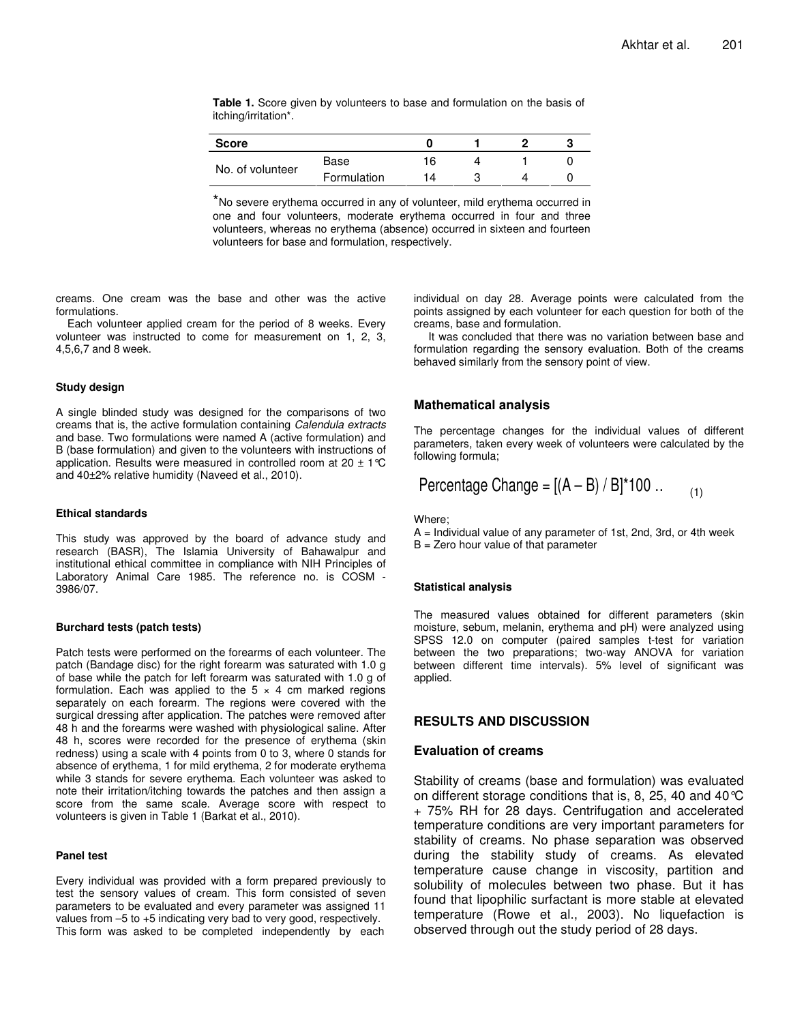**Table 1.** Score given by volunteers to base and formulation on the basis of itching/irritation\*.

| <b>Score</b>     |             |    |  |  |
|------------------|-------------|----|--|--|
| No. of volunteer | Base        |    |  |  |
|                  | Formulation | 14 |  |  |

\*No severe erythema occurred in any of volunteer, mild erythema occurred in one and four volunteers, moderate erythema occurred in four and three volunteers, whereas no erythema (absence) occurred in sixteen and fourteen volunteers for base and formulation, respectively.

creams. One cream was the base and other was the active formulations.

Each volunteer applied cream for the period of 8 weeks. Every volunteer was instructed to come for measurement on 1, 2, 3, 4,5,6,7 and 8 week.

#### **Study design**

A single blinded study was designed for the comparisons of two creams that is, the active formulation containing *Calendula extracts* and base. Two formulations were named A (active formulation) and B (base formulation) and given to the volunteers with instructions of application. Results were measured in controlled room at 20  $\pm$  1 °C and 40±2% relative humidity (Naveed et al., 2010).

#### **Ethical standards**

This study was approved by the board of advance study and research (BASR), The Islamia University of Bahawalpur and institutional ethical committee in compliance with NIH Principles of Laboratory Animal Care 1985. The reference no. is COSM - 3986/07.

#### **Burchard tests (patch tests)**

Patch tests were performed on the forearms of each volunteer. The patch (Bandage disc) for the right forearm was saturated with 1.0 g of base while the patch for left forearm was saturated with 1.0 g of formulation. Each was applied to the  $5 \times 4$  cm marked regions separately on each forearm. The regions were covered with the surgical dressing after application. The patches were removed after 48 h and the forearms were washed with physiological saline. After 48 h, scores were recorded for the presence of erythema (skin redness) using a scale with 4 points from 0 to 3, where 0 stands for absence of erythema, 1 for mild erythema, 2 for moderate erythema while 3 stands for severe erythema. Each volunteer was asked to note their irritation/itching towards the patches and then assign a score from the same scale. Average score with respect to volunteers is given in Table 1 (Barkat et al., 2010).

#### **Panel test**

Every individual was provided with a form prepared previously to test the sensory values of cream. This form consisted of seven parameters to be evaluated and every parameter was assigned 11 values from –5 to +5 indicating very bad to very good, respectively. This form was asked to be completed independently by each

individual on day 28. Average points were calculated from the points assigned by each volunteer for each question for both of the creams, base and formulation.

It was concluded that there was no variation between base and formulation regarding the sensory evaluation. Both of the creams behaved similarly from the sensory point of view.

### **Mathematical analysis**

The percentage changes for the individual values of different parameters, taken every week of volunteers were calculated by the following formula;

Percentage Change = 
$$
[(A - B) / B]^*
$$
100 ... (1)

Where;

A = Individual value of any parameter of 1st, 2nd, 3rd, or 4th week  $B =$  Zero hour value of that parameter

#### **Statistical analysis**

The measured values obtained for different parameters (skin moisture, sebum, melanin, erythema and pH) were analyzed using SPSS 12.0 on computer (paired samples t-test for variation between the two preparations; two-way ANOVA for variation between different time intervals). 5% level of significant was applied.

# **RESULTS AND DISCUSSION**

#### **Evaluation of creams**

Stability of creams (base and formulation) was evaluated on different storage conditions that is, 8, 25, 40 and 40°C + 75% RH for 28 days. Centrifugation and accelerated temperature conditions are very important parameters for stability of creams. No phase separation was observed during the stability study of creams. As elevated temperature cause change in viscosity, partition and solubility of molecules between two phase. But it has found that lipophilic surfactant is more stable at elevated temperature (Rowe et al., 2003). No liquefaction is observed through out the study period of 28 days.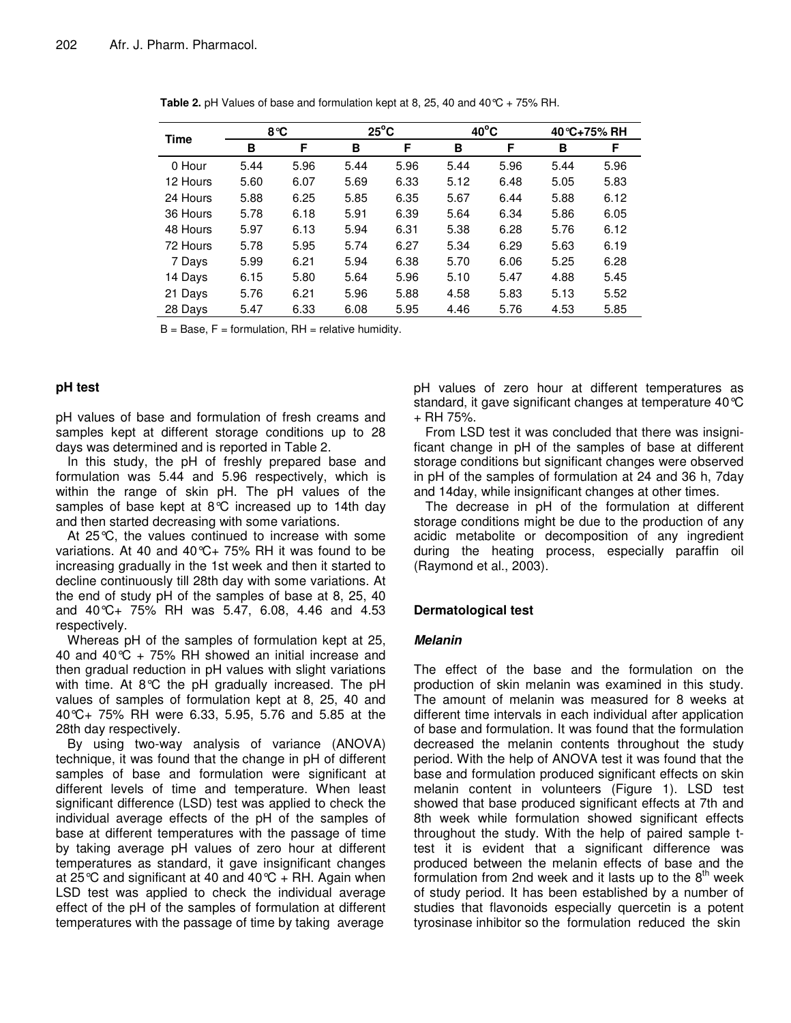| <b>Time</b> | 8°C  |      |      | $25^{\circ}$ C |      | $40^{\circ}$ C |      | 40 °C+75% RH |  |
|-------------|------|------|------|----------------|------|----------------|------|--------------|--|
|             | в    | F    | в    | F              | в    | F              | в    | F            |  |
| 0 Hour      | 5.44 | 5.96 | 5.44 | 5.96           | 5.44 | 5.96           | 5.44 | 5.96         |  |
| 12 Hours    | 5.60 | 6.07 | 5.69 | 6.33           | 5.12 | 6.48           | 5.05 | 5.83         |  |
| 24 Hours    | 5.88 | 6.25 | 5.85 | 6.35           | 5.67 | 6.44           | 5.88 | 6.12         |  |
| 36 Hours    | 5.78 | 6.18 | 5.91 | 6.39           | 5.64 | 6.34           | 5.86 | 6.05         |  |
| 48 Hours    | 5.97 | 6.13 | 5.94 | 6.31           | 5.38 | 6.28           | 5.76 | 6.12         |  |
| 72 Hours    | 5.78 | 5.95 | 5.74 | 6.27           | 5.34 | 6.29           | 5.63 | 6.19         |  |
| 7 Days      | 5.99 | 6.21 | 5.94 | 6.38           | 5.70 | 6.06           | 5.25 | 6.28         |  |
| 14 Days     | 6.15 | 5.80 | 5.64 | 5.96           | 5.10 | 5.47           | 4.88 | 5.45         |  |
| 21 Days     | 5.76 | 6.21 | 5.96 | 5.88           | 4.58 | 5.83           | 5.13 | 5.52         |  |
| 28 Days     | 5.47 | 6.33 | 6.08 | 5.95           | 4.46 | 5.76           | 4.53 | 5.85         |  |

**Table 2.** pH Values of base and formulation kept at 8, 25, 40 and 40  $\degree$ C + 75% RH.

 $B = Base, F = formulation, RH = relative humidity.$ 

### **pH test**

pH values of base and formulation of fresh creams and samples kept at different storage conditions up to 28 days was determined and is reported in Table 2.

In this study, the pH of freshly prepared base and formulation was 5.44 and 5.96 respectively, which is within the range of skin pH. The pH values of the samples of base kept at 8°C increased up to 14th day and then started decreasing with some variations.

At 25°C, the values continued to increase with some variations. At 40 and 40°C+ 75% RH it was found to be increasing gradually in the 1st week and then it started to decline continuously till 28th day with some variations. At the end of study pH of the samples of base at 8, 25, 40 and 40°C+ 75% RH was 5.47, 6.08, 4.46 and 4.53 respectively.

Whereas pH of the samples of formulation kept at 25, 40 and 40 $\degree$ C + 75% RH showed an initial increase and then gradual reduction in pH values with slight variations with time. At 8°C the pH gradually increased. The pH values of samples of formulation kept at 8, 25, 40 and 40°C+ 75% RH were 6.33, 5.95, 5.76 and 5.85 at the 28th day respectively.

By using two-way analysis of variance (ANOVA) technique, it was found that the change in pH of different samples of base and formulation were significant at different levels of time and temperature. When least significant difference (LSD) test was applied to check the individual average effects of the pH of the samples of base at different temperatures with the passage of time by taking average pH values of zero hour at different temperatures as standard, it gave insignificant changes at 25 °C and significant at 40 and 40 °C + RH. Again when LSD test was applied to check the individual average effect of the pH of the samples of formulation at different temperatures with the passage of time by taking average

pH values of zero hour at different temperatures as standard, it gave significant changes at temperature 40°C  $+$  RH 75%.

From LSD test it was concluded that there was insignificant change in pH of the samples of base at different storage conditions but significant changes were observed in pH of the samples of formulation at 24 and 36 h, 7day and 14day, while insignificant changes at other times.

The decrease in pH of the formulation at different storage conditions might be due to the production of any acidic metabolite or decomposition of any ingredient during the heating process, especially paraffin oil (Raymond et al., 2003).

### **Dermatological test**

### *Melanin*

The effect of the base and the formulation on the production of skin melanin was examined in this study. The amount of melanin was measured for 8 weeks at different time intervals in each individual after application of base and formulation. It was found that the formulation decreased the melanin contents throughout the study period. With the help of ANOVA test it was found that the base and formulation produced significant effects on skin melanin content in volunteers (Figure 1). LSD test showed that base produced significant effects at 7th and 8th week while formulation showed significant effects throughout the study. With the help of paired sample ttest it is evident that a significant difference was produced between the melanin effects of base and the .<br>formulation from 2nd week and it lasts up to the 8<sup>th</sup> week of study period. It has been established by a number of studies that flavonoids especially quercetin is a potent tyrosinase inhibitor so the formulation reduced the skin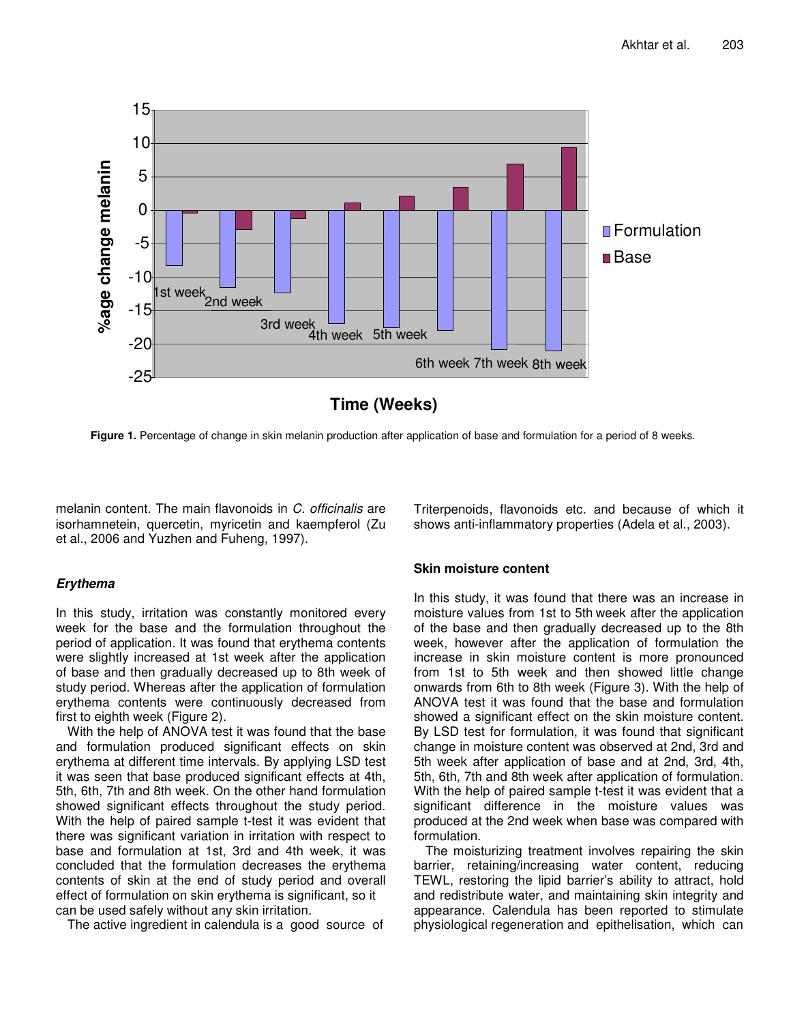

**Figure 1.** Percentage of change in skin melanin production after application of base and formulation for a period of 8 weeks.

melanin content. The main flavonoids in *C. officinalis* are isorhamnetein, quercetin, myricetin and kaempferol (Zu et al., 2006 and Yuzhen and Fuheng, 1997).

# *Erythema*

In this study, irritation was constantly monitored every week for the base and the formulation throughout the period of application. It was found that erythema contents were slightly increased at 1st week after the application of base and then gradually decreased up to 8th week of study period. Whereas after the application of formulation erythema contents were continuously decreased from first to eighth week (Figure 2).

With the help of ANOVA test it was found that the base and formulation produced significant effects on skin erythema at different time intervals. By applying LSD test it was seen that base produced significant effects at 4th, 5th, 6th, 7th and 8th week. On the other hand formulation showed significant effects throughout the study period. With the help of paired sample t-test it was evident that there was significant variation in irritation with respect to base and formulation at 1st, 3rd and 4th week, it was concluded that the formulation decreases the erythema contents of skin at the end of study period and overall effect of formulation on skin erythema is significant, so it can be used safely without any skin irritation.

The active ingredient in calendula is a good source of

Triterpenoids, flavonoids etc. and because of which it shows anti-inflammatory properties (Adela et al., 2003).

# **Skin moisture content**

In this study, it was found that there was an increase in moisture values from 1st to 5th week after the application of the base and then gradually decreased up to the 8th week, however after the application of formulation the increase in skin moisture content is more pronounced from 1st to 5th week and then showed little change onwards from 6th to 8th week (Figure 3). With the help of ANOVA test it was found that the base and formulation showed a significant effect on the skin moisture content. By LSD test for formulation, it was found that significant change in moisture content was observed at 2nd, 3rd and 5th week after application of base and at 2nd, 3rd, 4th, 5th, 6th, 7th and 8th week after application of formulation. With the help of paired sample t-test it was evident that a significant difference in the moisture values was produced at the 2nd week when base was compared with formulation.

The moisturizing treatment involves repairing the skin barrier, retaining/increasing water content, reducing TEWL, restoring the lipid barrier's ability to attract, hold and redistribute water, and maintaining skin integrity and appearance. Calendula has been reported to stimulate physiological regeneration and epithelisation, which can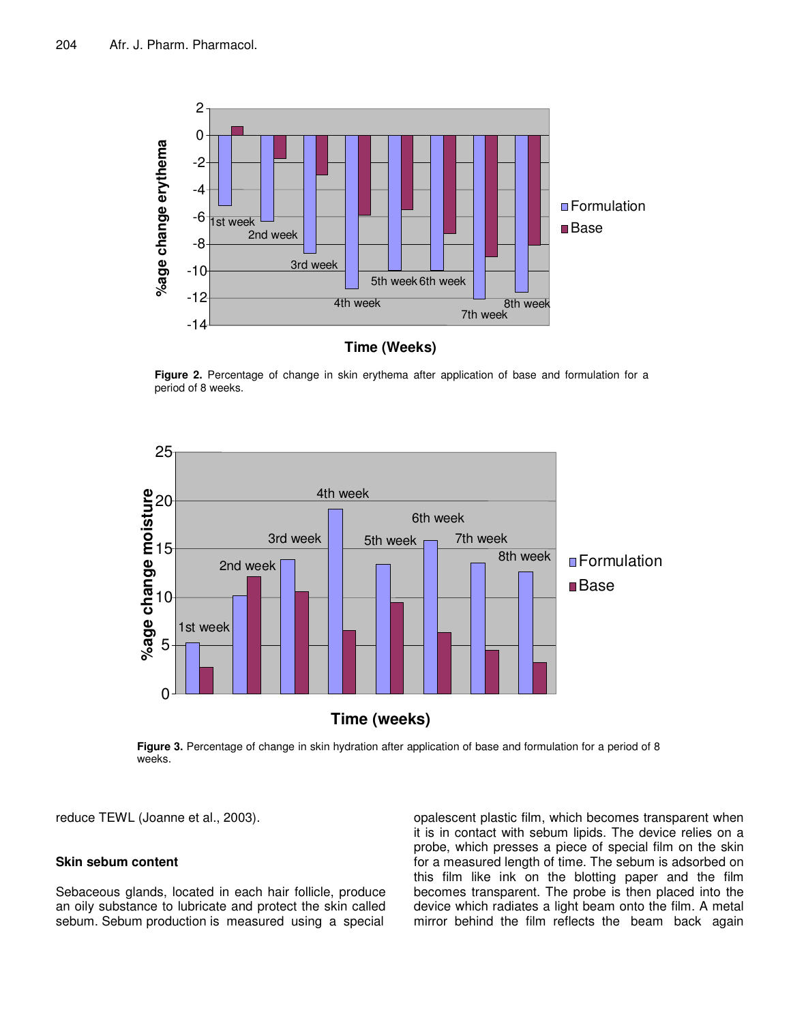

**Figure 2.** Percentage of change in skin erythema after application of base and formulation for a period of 8 weeks.



**Figure 3.** Percentage of change in skin hydration after application of base and formulation for a period of 8 weeks.

reduce TEWL (Joanne et al., 2003).

# **Skin sebum content**

Sebaceous glands, located in each hair follicle, produce an oily substance to lubricate and protect the skin called sebum. Sebum production is measured using a special

opalescent plastic film, which becomes transparent when it is in contact with sebum lipids. The device relies on a probe, which presses a piece of special film on the skin for a measured length of time. The sebum is adsorbed on this film like ink on the blotting paper and the film becomes transparent. The probe is then placed into the device which radiates a light beam onto the film. A metal mirror behind the film reflects the beam back again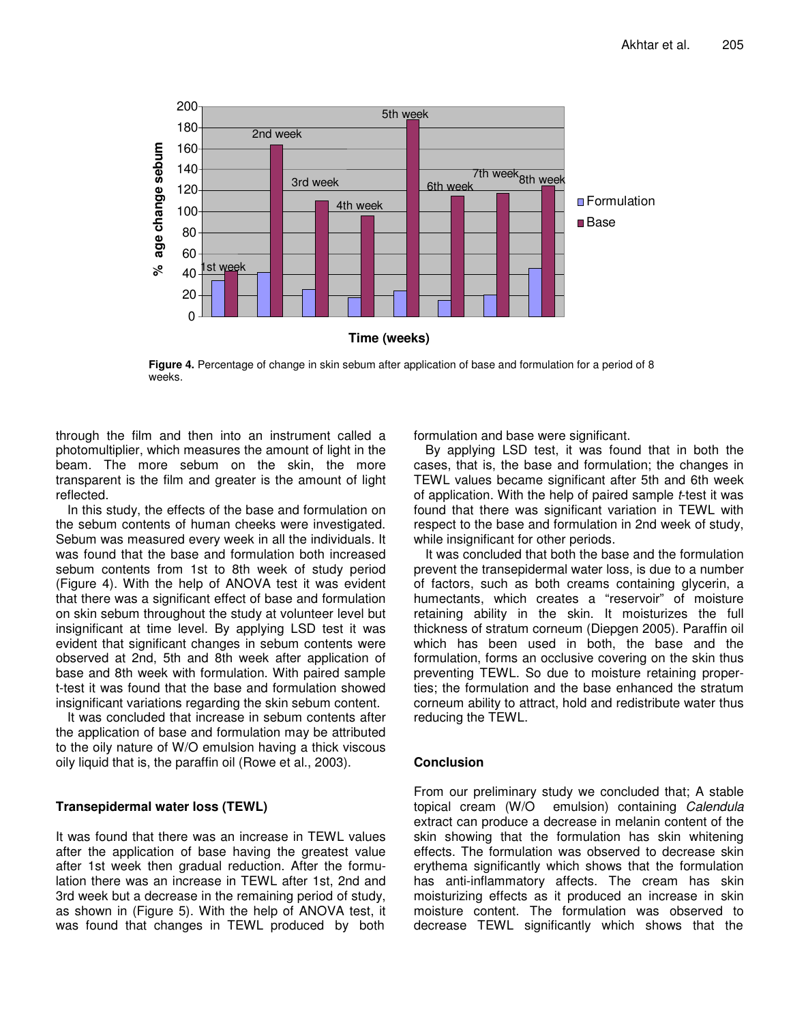

**Figure 4.** Percentage of change in skin sebum after application of base and formulation for a period of 8 weeks.

through the film and then into an instrument called a photomultiplier, which measures the amount of light in the beam. The more sebum on the skin, the more transparent is the film and greater is the amount of light reflected.

In this study, the effects of the base and formulation on the sebum contents of human cheeks were investigated. Sebum was measured every week in all the individuals. It was found that the base and formulation both increased sebum contents from 1st to 8th week of study period (Figure 4). With the help of ANOVA test it was evident that there was a significant effect of base and formulation on skin sebum throughout the study at volunteer level but insignificant at time level. By applying LSD test it was evident that significant changes in sebum contents were observed at 2nd, 5th and 8th week after application of base and 8th week with formulation. With paired sample t-test it was found that the base and formulation showed insignificant variations regarding the skin sebum content.

It was concluded that increase in sebum contents after the application of base and formulation may be attributed to the oily nature of W/O emulsion having a thick viscous oily liquid that is, the paraffin oil (Rowe et al., 2003).

# **Transepidermal water loss (TEWL)**

It was found that there was an increase in TEWL values after the application of base having the greatest value after 1st week then gradual reduction. After the formulation there was an increase in TEWL after 1st, 2nd and 3rd week but a decrease in the remaining period of study, as shown in (Figure 5). With the help of ANOVA test, it was found that changes in TEWL produced by both formulation and base were significant.

By applying LSD test, it was found that in both the cases, that is, the base and formulation; the changes in TEWL values became significant after 5th and 6th week of application. With the help of paired sample *t*-test it was found that there was significant variation in TEWL with respect to the base and formulation in 2nd week of study, while insignificant for other periods.

It was concluded that both the base and the formulation prevent the transepidermal water loss, is due to a number of factors, such as both creams containing glycerin, a humectants, which creates a "reservoir" of moisture retaining ability in the skin. It moisturizes the full thickness of stratum corneum (Diepgen 2005). Paraffin oil which has been used in both, the base and the formulation, forms an occlusive covering on the skin thus preventing TEWL. So due to moisture retaining properties; the formulation and the base enhanced the stratum corneum ability to attract, hold and redistribute water thus reducing the TEWL.

## **Conclusion**

From our preliminary study we concluded that; A stable topical cream (W/O emulsion) containing *Calendula* extract can produce a decrease in melanin content of the skin showing that the formulation has skin whitening effects. The formulation was observed to decrease skin erythema significantly which shows that the formulation has anti-inflammatory affects. The cream has skin moisturizing effects as it produced an increase in skin moisture content. The formulation was observed to decrease TEWL significantly which shows that the